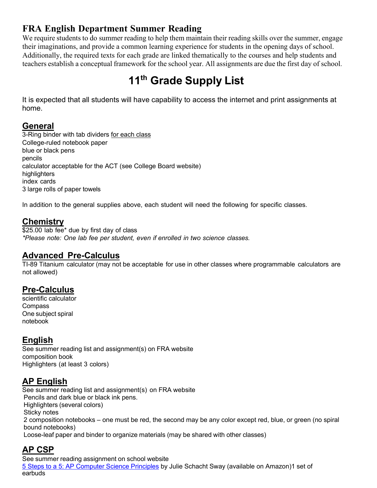# **FRA English Department Summer Reading**

We require students to do summer reading to help them maintain their reading skills over the summer, engage their imaginations, and provide a common learning experience for students in the opening days of school. Additionally, the required texts for each grade are linked thematically to the courses and help students and teachers establish a conceptual framework for the school year. All assignments are due the first day of school.

# **11th Grade Supply List**

It is expected that all students will have capability to access the internet and print assignments at home.

#### **General**

3-Ring binder with tab dividers for each class College-ruled notebook paper blue or black pens pencils calculator acceptable for the ACT (see College Board website) highlighters index cards 3 large rolls of paper towels

In addition to the general supplies above, each student will need the following for specific classes.

#### **Chemistry**

\$25.00 lab fee\* due by first day of class *\*Please note: One lab fee per student, even if enrolled in two science classes.*

#### **Advanced Pre-Calculus**

TI-89 Titanium calculator (may not be acceptable for use in other classes where programmable calculators are not allowed)

#### **Pre-Calculus**

scientific calculator **Compass** One subject spiral notebook

#### **English**

See summer reading list and assignment(s) on FRA website composition book Highlighters (at least 3 colors)

#### **AP English**

See summer reading list and assignment(s) on FRA website Pencils and dark blue or black ink pens. Highlighters (several colors) Sticky notes 2 composition notebooks – one must be red, the second may be any color except red, blue, or green (no spiral bound notebooks)

Loose-leaf paper and binder to organize materials (may be shared with other classes)

### **AP CSP**

See summer reading assignment on school website 5 Steps to a 5: [AP Computer](https://www.amazon.com/Steps-Computer-Science-Principles-2022-dp-1264267851/dp/1264267851/ref%3Ddp_ob_title_bk) Science Principles by Julie Schacht Sway (available on Amazon)1 set of earbuds